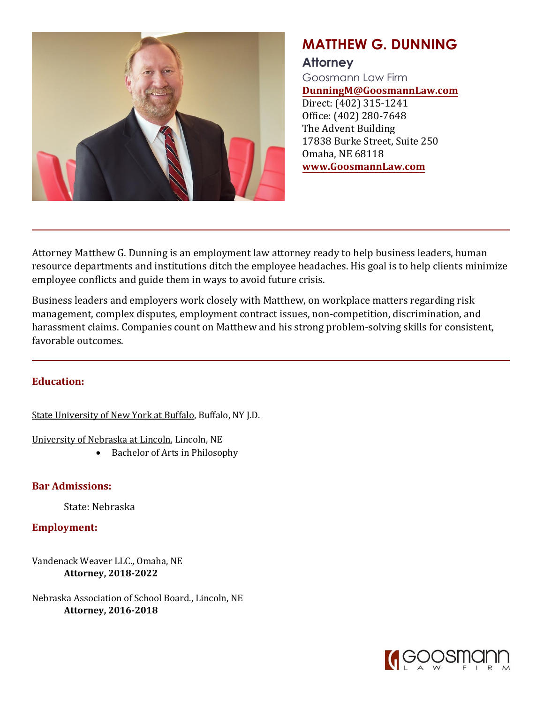

## **MATTHEW G. DUNNING**

## **Attorney**

Goosmann Law Firm **DunningM@GoosmannLaw.com** Direct: (402) 315-1241 Office: (402) 280-7648 The Advent Building 17838 Burke Street, Suite 250 Omaha, NE 68118 **www.GoosmannLaw.com**

Attorney Matthew G. Dunning is an employment law attorney ready to help business leaders, human resource departments and institutions ditch the employee headaches. His goal is to help clients minimize employee conflicts and guide them in ways to avoid future crisis.

Business leaders and employers work closely with Matthew, on workplace matters regarding risk management, complex disputes, employment contract issues, non-competition, discrimination, and harassment claims. Companies count on Matthew and his strong problem-solving skills for consistent, favorable outcomes.

## **Education:**

State University of New York at Buffalo, Buffalo, NY J.D.

University of Nebraska at Lincoln, Lincoln, NE

• Bachelor of Arts in Philosophy

**Bar Admissions:**

State: Nebraska

**Employment:**

Vandenack Weaver LLC., Omaha, NE **Attorney, 2018-2022**

Nebraska Association of School Board., Lincoln, NE **Attorney, 2016-2018**